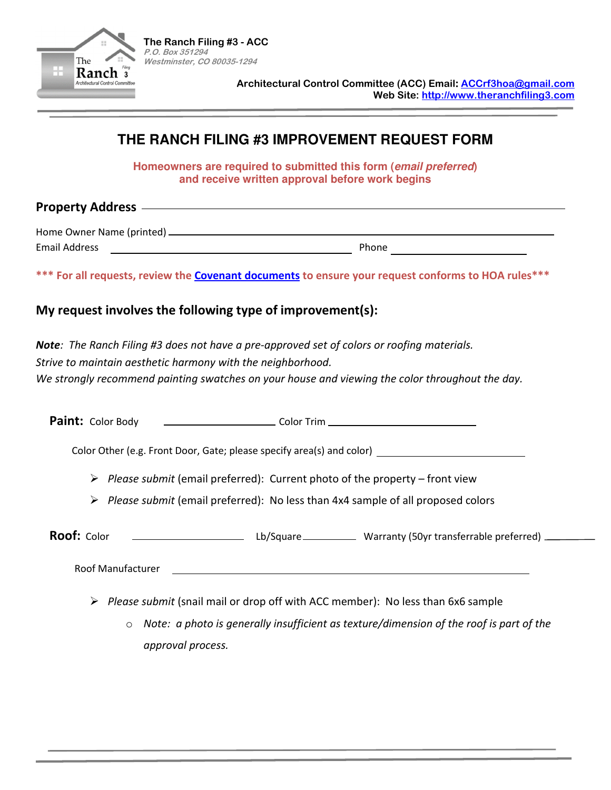

**Architectural Control Committee (ACC) Email: ACCrf3hoa@gmail.com Web Site: http://www.theranchfiling3.com** 

## **THE RANCH FILING #3 IMPROVEMENT REQUEST FORM**

**Homeowners are required to submitted this form (email preferred) and receive written approval before work begins** 

**Property Address** 

Home Owner Name (printed) Email Address Phone

**\*\*\* For all requests, review the Covenant documents to ensure your request conforms to HOA rules\*\*\***

## **My request involves the following type of improvement(s):**

*Note: The Ranch Filing #3 does not have a pre-approved set of colors or roofing materials. Strive to maintain aesthetic harmony with the neighborhood. We strongly recommend painting swatches on your house and viewing the color throughout the day.* 

**Paint:** Color Body Color Trim

Color Other (e.g. Front Door, Gate; please specify area(s) and color)

- *Please submit* (email preferred): Current photo of the property front view
- *Please submit* (email preferred): No less than 4x4 sample of all proposed colors

| <b>Roof:</b> Color | Lb/Square_ | Warranty (50yr transferrable preferred) __ |
|--------------------|------------|--------------------------------------------|
|--------------------|------------|--------------------------------------------|

Roof Manufacturer

- *Please submit* (snail mail or drop off with ACC member): No less than 6x6 sample
	- o *Note: a photo is generally insufficient as texture/dimension of the roof is part of the approval process.*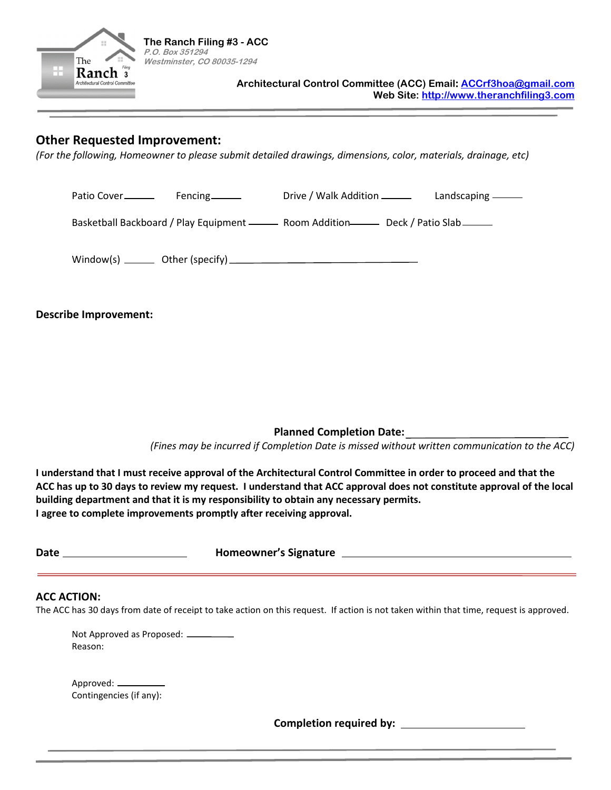

## **Other Requested Improvement:**

*(For the following, Homeowner to please submit detailed drawings, dimensions, color, materials, drainage, etc)* 

Patio Cover Fencing Drive / Walk Addition Landscaping Basketball Backboard / Play Equipment - Room Addition Deck / Patio Slab Window(s) Other (specify)

**Describe Improvement:** 

**Planned Completion Date:** 

*(Fines may be incurred if Completion Date is missed without written communication to the ACC)* 

**I understand that I must receive approval of the Architectural Control Committee in order to proceed and that the ACC has up to 30 days to review my request. I understand that ACC approval does not constitute approval of the local building department and that it is my responsibility to obtain any necessary permits. I agree to complete improvements promptly after receiving approval.** 

| ۰,<br>. .<br>۰.<br>×<br>×<br>۰. |
|---------------------------------|
|                                 |

**Date Homeowner's Signature** 

## **ACC ACTION:**

The ACC has 30 days from date of receipt to take action on this request. If action is not taken within that time, request is approved.

Not Approved as Proposed: Reason:

| Approved: .             |  |
|-------------------------|--|
| Contingencies (if any): |  |

**Completion required by:**